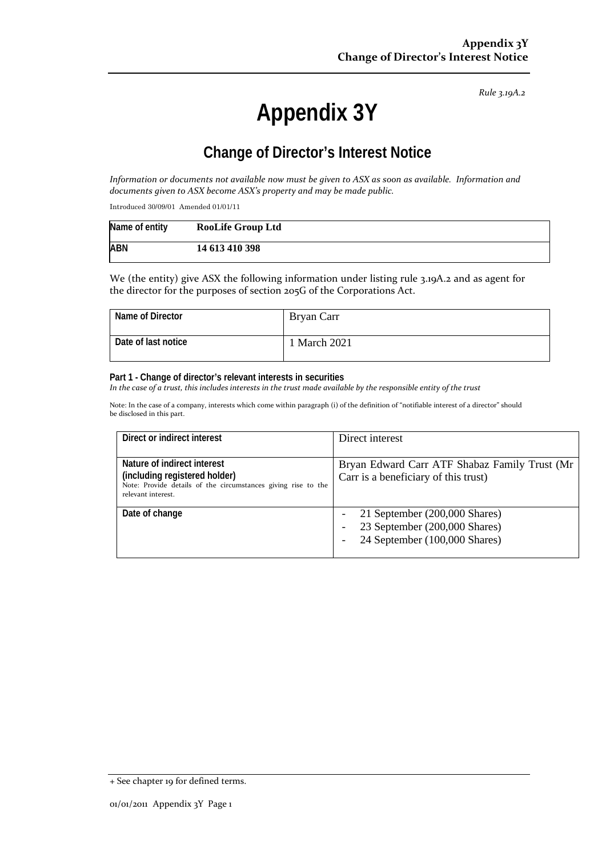*Rule 3.19A.2*

# **Appendix 3Y**

## **Change of Director's Interest Notice**

*Information or documents not available now must be given to ASX as soon as available. Information and documents given to ASX become ASX's property and may be made public.*

Introduced 30/09/01 Amended 01/01/11

| Name of entity | <b>RooLife Group Ltd</b> |
|----------------|--------------------------|
| <b>ABN</b>     | 14 613 410 398           |

We (the entity) give ASX the following information under listing rule 3.19A.2 and as agent for the director for the purposes of section 205G of the Corporations Act.

| Name of Director    | Bryan Carr        |
|---------------------|-------------------|
| Date of last notice | <b>March 2021</b> |

#### **Part 1 - Change of director's relevant interests in securities**

*In the case of a trust, this includes interests in the trust made available by the responsible entity of the trust*

Note: In the case of a company, interests which come within paragraph (i) of the definition of "notifiable interest of a director" should be disclosed in this part.

| Direct or indirect interest                                                                                                                         | Direct interest                                                                                 |
|-----------------------------------------------------------------------------------------------------------------------------------------------------|-------------------------------------------------------------------------------------------------|
| Nature of indirect interest<br>(including registered holder)<br>Note: Provide details of the circumstances giving rise to the<br>relevant interest. | Bryan Edward Carr ATF Shabaz Family Trust (Mr<br>Carr is a beneficiary of this trust)           |
| Date of change                                                                                                                                      | 21 September (200,000 Shares)<br>23 September (200,000 Shares)<br>24 September (100,000 Shares) |

<sup>+</sup> See chapter 19 for defined terms.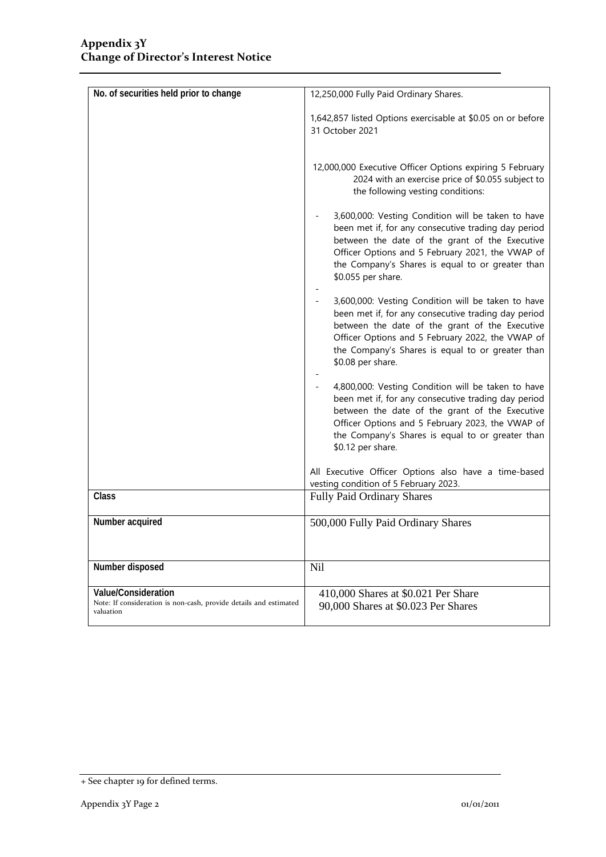| No. of securities held prior to change                                                                | 12,250,000 Fully Paid Ordinary Shares.                                                                                                                                                                                                                                                    |
|-------------------------------------------------------------------------------------------------------|-------------------------------------------------------------------------------------------------------------------------------------------------------------------------------------------------------------------------------------------------------------------------------------------|
|                                                                                                       | 1,642,857 listed Options exercisable at \$0.05 on or before<br>31 October 2021                                                                                                                                                                                                            |
|                                                                                                       | 12,000,000 Executive Officer Options expiring 5 February<br>2024 with an exercise price of \$0.055 subject to<br>the following vesting conditions:                                                                                                                                        |
|                                                                                                       | 3,600,000: Vesting Condition will be taken to have<br>been met if, for any consecutive trading day period<br>between the date of the grant of the Executive<br>Officer Options and 5 February 2021, the VWAP of<br>the Company's Shares is equal to or greater than<br>\$0.055 per share. |
|                                                                                                       | 3,600,000: Vesting Condition will be taken to have<br>been met if, for any consecutive trading day period<br>between the date of the grant of the Executive<br>Officer Options and 5 February 2022, the VWAP of<br>the Company's Shares is equal to or greater than<br>\$0.08 per share.  |
|                                                                                                       | 4,800,000: Vesting Condition will be taken to have<br>been met if, for any consecutive trading day period<br>between the date of the grant of the Executive<br>Officer Options and 5 February 2023, the VWAP of<br>the Company's Shares is equal to or greater than<br>\$0.12 per share.  |
|                                                                                                       | All Executive Officer Options also have a time-based<br>vesting condition of 5 February 2023.                                                                                                                                                                                             |
| Class                                                                                                 | <b>Fully Paid Ordinary Shares</b>                                                                                                                                                                                                                                                         |
| Number acquired                                                                                       | 500,000 Fully Paid Ordinary Shares                                                                                                                                                                                                                                                        |
| Number disposed                                                                                       | Nil                                                                                                                                                                                                                                                                                       |
| Value/Consideration<br>Note: If consideration is non-cash, provide details and estimated<br>valuation | 410,000 Shares at \$0.021 Per Share<br>90,000 Shares at \$0.023 Per Shares                                                                                                                                                                                                                |

<sup>+</sup> See chapter 19 for defined terms.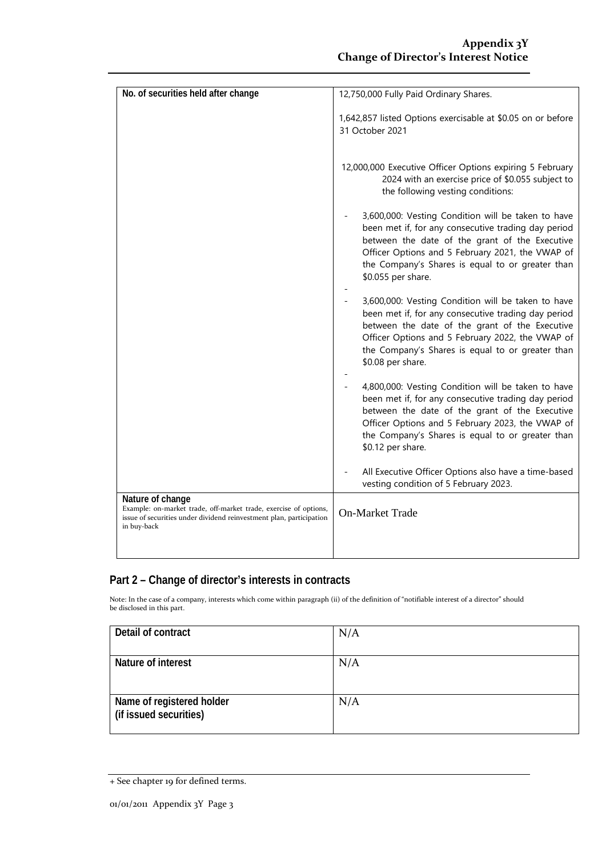| No. of securities held after change                                                                                                                                        | 12,750,000 Fully Paid Ordinary Shares.                                                                                                                                                                                                                                                    |
|----------------------------------------------------------------------------------------------------------------------------------------------------------------------------|-------------------------------------------------------------------------------------------------------------------------------------------------------------------------------------------------------------------------------------------------------------------------------------------|
|                                                                                                                                                                            | 1,642,857 listed Options exercisable at \$0.05 on or before<br>31 October 2021                                                                                                                                                                                                            |
|                                                                                                                                                                            | 12,000,000 Executive Officer Options expiring 5 February<br>2024 with an exercise price of \$0.055 subject to<br>the following vesting conditions:                                                                                                                                        |
|                                                                                                                                                                            | 3,600,000: Vesting Condition will be taken to have<br>been met if, for any consecutive trading day period<br>between the date of the grant of the Executive<br>Officer Options and 5 February 2021, the VWAP of<br>the Company's Shares is equal to or greater than<br>\$0.055 per share. |
|                                                                                                                                                                            | 3,600,000: Vesting Condition will be taken to have<br>been met if, for any consecutive trading day period<br>between the date of the grant of the Executive<br>Officer Options and 5 February 2022, the VWAP of<br>the Company's Shares is equal to or greater than<br>\$0.08 per share.  |
|                                                                                                                                                                            | 4,800,000: Vesting Condition will be taken to have<br>been met if, for any consecutive trading day period<br>between the date of the grant of the Executive<br>Officer Options and 5 February 2023, the VWAP of<br>the Company's Shares is equal to or greater than<br>\$0.12 per share.  |
|                                                                                                                                                                            | All Executive Officer Options also have a time-based<br>vesting condition of 5 February 2023.                                                                                                                                                                                             |
| Nature of change<br>Example: on-market trade, off-market trade, exercise of options,<br>issue of securities under dividend reinvestment plan, participation<br>in buy-back | <b>On-Market Trade</b>                                                                                                                                                                                                                                                                    |
|                                                                                                                                                                            |                                                                                                                                                                                                                                                                                           |

### **Part 2 – Change of director's interests in contracts**

Note: In the case of a company, interests which come within paragraph (ii) of the definition of "notifiable interest of a director" should be disclosed in this part.

| Detail of contract                                  | N/A |
|-----------------------------------------------------|-----|
| Nature of interest                                  | N/A |
| Name of registered holder<br>(if issued securities) | N/A |

<sup>+</sup> See chapter 19 for defined terms.